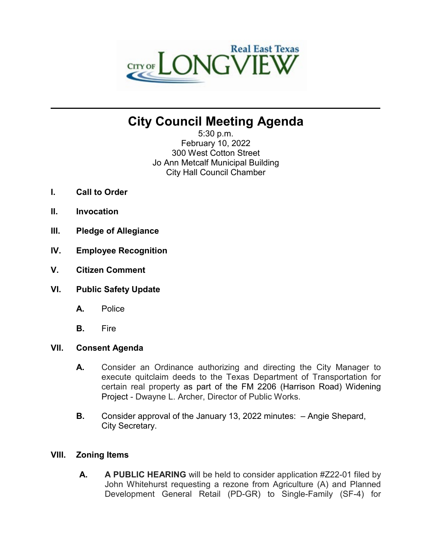

# **City Council Meeting Agenda**

**\_\_\_\_\_\_\_\_\_\_\_\_\_\_\_\_\_\_\_\_\_\_\_\_\_\_\_\_\_\_\_\_\_\_\_\_\_\_\_\_\_\_\_\_\_\_\_\_\_\_\_\_\_\_\_\_\_\_\_\_\_\_\_\_\_\_\_\_\_\_**

5:30 p.m. February 10, 2022 300 West Cotton Street Jo Ann Metcalf Municipal Building City Hall Council Chamber

- **I. Call to Order**
- **II. Invocation**
- **III. Pledge of Allegiance**
- **IV. Employee Recognition**
- **V. Citizen Comment**
- **VI. Public Safety Update**
	- **A.** Police
	- **B.** Fire

# **VII. Consent Agenda**

- **A.** Consider an Ordinance authorizing and directing the City Manager to execute quitclaim deeds to the Texas Department of Transportation for certain real property as part of the FM 2206 (Harrison Road) Widening Project - Dwayne L. Archer, Director of Public Works.
- **B.** Consider approval of the January 13, 2022 minutes: Angie Shepard, City Secretary.

# **VIII. Zoning Items**

**A. A PUBLIC HEARING** will be held to consider application #Z22-01 filed by John Whitehurst requesting a rezone from Agriculture (A) and Planned Development General Retail (PD-GR) to Single-Family (SF-4) for